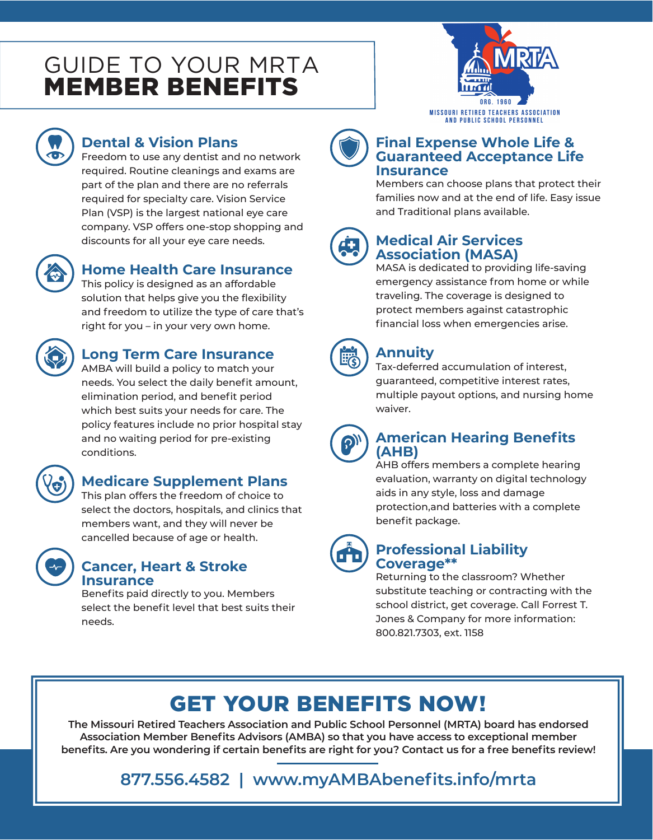# GUIDE TO YOUR MRTA MEMBER BENEFITS





# **Dental & Vision Plans**

Freedom to use any dentist and no network required. Routine cleanings and exams are part of the plan and there are no referrals required for specialty care. Vision Service Plan (VSP) is the largest national eye care company. VSP offers one-stop shopping and discounts for all your eye care needs.



## **Home Health Care Insurance**

This policy is designed as an affordable solution that helps give you the flexibility and freedom to utilize the type of care that's right for you – in your very own home.



# **Long Term Care Insurance**

AMBA will build a policy to match your needs. You select the daily benefit amount, elimination period, and benefit period which best suits your needs for care. The policy features include no prior hospital stay and no waiting period for pre-existing conditions.



# **Medicare Supplement Plans**

This plan offers the freedom of choice to select the doctors, hospitals, and clinics that members want, and they will never be cancelled because of age or health.



#### **Cancer, Heart & Stroke Insurance**

Benefits paid directly to you. Members select the benefit level that best suits their needs.



Members can choose plans that protect their families now and at the end of life. Easy issue and Traditional plans available.



## **Medical Air Services Association (MASA)**

MASA is dedicated to providing life-saving emergency assistance from home or while traveling. The coverage is designed to protect members against catastrophic financial loss when emergencies arise.



# **Annuity**

Tax-deferred accumulation of interest, guaranteed, competitive interest rates, multiple payout options, and nursing home waiver.



#### **American Hearing Benefits (AHB)**

AHB offers members a complete hearing evaluation, warranty on digital technology aids in any style, loss and damage protection,and batteries with a complete benefit package.



#### **Professional Liability Coverage\*\***

Returning to the classroom? Whether substitute teaching or contracting with the school district, get coverage. Call Forrest T. Jones & Company for more information: 800.821.7303, ext. 1158

# GET YOUR BENEFITS NOW!

**The Missouri Retired Teachers Association and Public School Personnel (MRTA) board has endorsed Association Member Benefits Advisors (AMBA) so that you have access to exceptional member benefits. Are you wondering if certain benefits are right for you? Contact us for a free benefits review!**

**877.556.4582 | www.myAMBAbenefits.info/mrta**